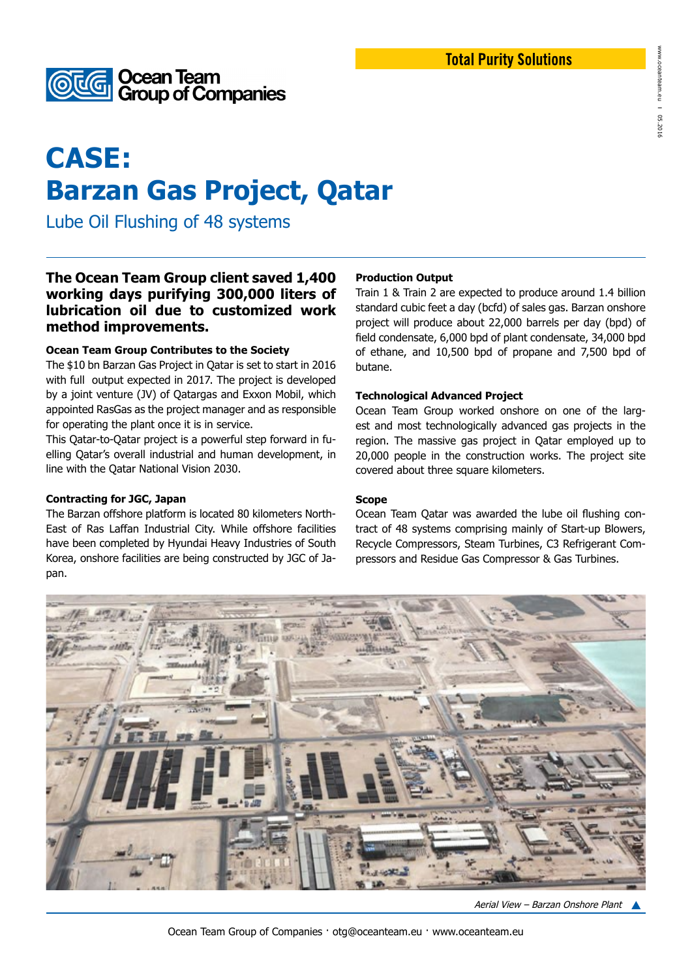



# **CASE: Barzan Gas Project, Qatar**

Lube Oil Flushing of 48 systems

# **The Ocean Team Group client saved 1,400 working days purifying 300,000 liters of lubrication oil due to customized work method improvements.**

#### **Ocean Team Group Contributes to the Society**

The \$10 bn Barzan Gas Project in Qatar is set to start in 2016 with full output expected in 2017. The project is developed by a joint venture (JV) of Qatargas and Exxon Mobil, which appointed RasGas as the project manager and as responsible for operating the plant once it is in service.

This Qatar-to-Qatar project is a powerful step forward in fuelling Qatar's overall industrial and human development, in line with the Qatar National Vision 2030.

#### **Contracting for JGC, Japan**

The Barzan offshore platform is located 80 kilometers North-East of Ras Laffan Industrial City. While offshore facilities have been completed by Hyundai Heavy Industries of South Korea, onshore facilities are being constructed by JGC of Japan.

#### **Production Output**

Train 1 & Train 2 are expected to produce around 1.4 billion standard cubic feet a day (bcfd) of sales gas. Barzan onshore project will produce about 22,000 barrels per day (bpd) of field condensate, 6,000 bpd of plant condensate, 34,000 bpd of ethane, and 10,500 bpd of propane and 7,500 bpd of butane.

#### **Technological Advanced Project**

Ocean Team Group worked onshore on one of the largest and most technologically advanced gas projects in the region. The massive gas project in Qatar employed up to 20,000 people in the construction works. The project site covered about three square kilometers.

# **Scope**

Ocean Team Qatar was awarded the lube oil flushing contract of 48 systems comprising mainly of Start-up Blowers, Recycle Compressors, Steam Turbines, C3 Refrigerant Compressors and Residue Gas Compressor & Gas Turbines.



Aerial View – Barzan Onshore Plant

www.oceanteam.eu

**I** 05.2016

2016